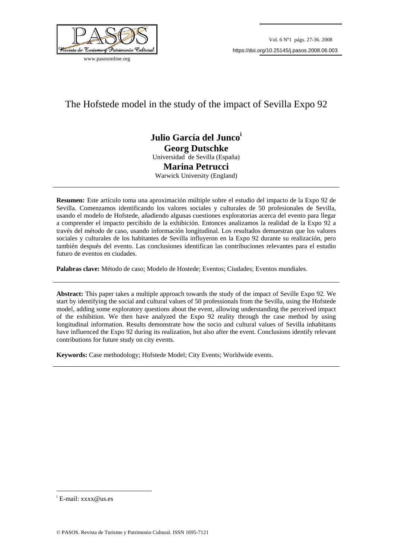

www.pasosonline.org

# The Hofstede model in the study of the impact of Sevilla Expo 92

# **Julio García del Junco<sup>i</sup> Georg Dutschke**  Universidad de Sevilla (España) **Marina Petrucci**  Warwick University (England)

**Resumen:** Este artículo toma una aproximación múltiple sobre el estudio del impacto de la Expo 92 de Sevilla. Comenzamos identificando los valores sociales y culturales de 50 profesionales de Sevilla, usando el modelo de Hofstede, añadiendo algunas cuestiones exploratorias acerca del evento para llegar a comprender el impacto percibido de la exhibición. Entonces analizamos la realidad de la Expo 92 a través del método de caso, usando información longitudinal. Los resultados demuestran que los valores sociales y culturales de los habitantes de Sevilla influyeron en la Expo 92 durante su realización, pero también después del evento. Las conclusiones identifican las contribuciones relevantes para el estudio futuro de eventos en ciudades.

**Palabras clave:** Método de caso; Modelo de Hostede; Eventos; Ciudades; Eventos mundiales.

**Abstract:** This paper takes a multiple approach towards the study of the impact of Seville Expo 92. We start by identifying the social and cultural values of 50 professionals from the Sevilla, using the Hofstede model, adding some exploratory questions about the event, allowing understanding the perceived impact of the exhibition. We then have analyzed the Expo 92 reality through the case method by using longitudinal information. Results demonstrate how the socio and cultural values of Sevilla inhabitants have influenced the Expo 92 during its realization, but also after the event. Conclusions identify relevant contributions for future study on city events.

**Keywords:** Case methodology; Hofstede Model; City Events; Worldwide events.

<u>.</u>

<sup>&</sup>lt;sup>i</sup> E-mail: xxxx@us.es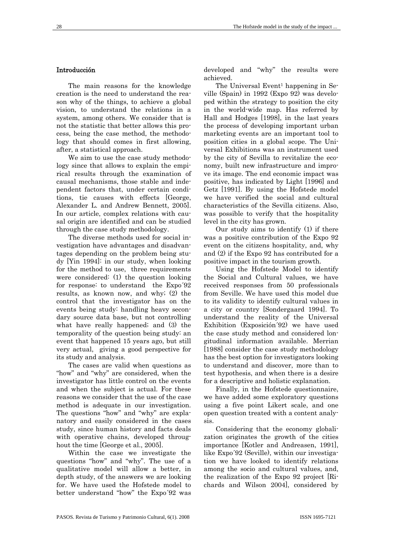# Introducción

The main reasons for the knowledge creation is the need to understand the reason why of the things, to achieve a global vision, to understand the relations in a system, among others. We consider that is not the statistic that better allows this process, being the case method, the methodology that should comes in first allowing, after, a statistical approach.

We aim to use the case study methodology since that allows to explain the empirical results through the examination of causal mechanisms, those stable and independent factors that, under certain conditions, tie causes with effects [George, Alexander L. and Andrew Bennett, 2005]. In our article, complex relations with causal origin are identified and can be studied through the case study methodology.

The diverse methods used for social investigation have advantages and disadvantages depending on the problem being study [Yin 1994]: in our study, when looking for the method to use, three requirements were considered: (1) the question looking for response: to understand the Expo´92 results, as known now, and why; (2) the control that the investigator has on the events being study: handling heavy secondary source data base, but not controlling what have really happened; and (3) the temporality of the question being study: an event that happened 15 years ago, but still very actual, giving a good perspective for its study and analysis.

The cases are valid when questions as "how" and "why" are considered, when the investigator has little control on the events and when the subject is actual. For these reasons we consider that the use of the case method is adequate in our investigation. The questions "how" and "why" are explanatory and easily considered in the cases study, since human history and facts deals with operative chains, developed throughout the time [George et al., 2005].

Within the case we investigate the questions "how" and "why". The use of a qualitative model will allow a better, in depth study, of the answers we are looking for. We have used the Hofstede model to better understand "how" the Expo´92 was

developed and "why" the results were achieved.

The Universal Event<sup>1</sup> happening in Seville (Spain) in 1992 (Expo 92) was developed within the strategy to position the city in the world-wide map. Has referred by Hall and Hodges [1998], in the last years the process of developing important urban marketing events are an important tool to position cities in a global scope. The Universal Exhibitions was an instrument used by the city of Sevilla to revitalize the economy, built new infrastructure and improve its image. The end economic impact was positive, has indicated by Light [1996] and Getz [1991]. By using the Hofstede model we have verified the social and cultural characteristics of the Sevilla citizens. Also, was possible to verify that the hospitality level in the city has grown.

Our study aims to identify (1) if there was a positive contribution of the Expo 92 event on the citizens hospitality, and, why and (2) if the Expo 92 has contributed for a positive impact in the tourism growth.

Using the Hofstede Model to identify the Social and Cultural values, we have received responses from 50 professionals from Seville. We have used this model due to its validity to identify cultural values in a city or country [Sondergaard 1994]. To understand the reality of the Universal Exhibition (Exposición´92) we have used the case study method and considered longitudinal information available. Merrian [1988] consider the case study methodology has the best option for investigators looking to understand and discover, more than to test hypothesis, and when there is a desire for a descriptive and holistic explanation.

Finally, in the Hofstede questionnaire, we have added some exploratory questions using a five point Likert scale, and one open question treated with a content analysis.

Considering that the economy globalization originates the growth of the cities importance [Kotler and Andreasen, 1991], like Expo´92 (Seville), within our investigation we have looked to identify relations among the socio and cultural values, and, the realization of the Expo 92 project [Richards and Wilson 2004], considered by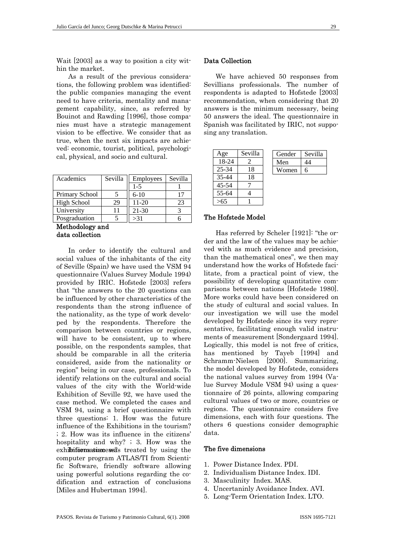Wait [2003] as a way to position a city within the market.

As a result of the previous considerations, the following problem was identified: the public companies managing the event need to have criteria, mentality and management capability, since, as referred by Bouinot and Rawding [1996], those companies must have a strategic management vision to be effective. We consider that as true, when the next six impacts are achieved: economic, tourist, political, psychological, physical, and socio and cultural.

| Academics          | Sevilla | Employees | Sevilla |
|--------------------|---------|-----------|---------|
|                    |         | $1 - 5$   |         |
| Primary School     |         | $6 - 10$  |         |
| <b>High School</b> | 29      | $11 - 20$ | 23      |
| University         | 11      | $21 - 30$ |         |
| Posgraduation      |         | >31       |         |

Methodology and data collection

In order to identify the cultural and social values of the inhabitants of the city of Seville (Spain) we have used the VSM 94 questionnaire (Values Survey Module 1994) provided by IRIC. Hofstede [2003] refers that "the answers to the 20 questions can be influenced by other characteristics of the respondents than the strong influence of the nationality, as the type of work developed by the respondents. Therefore the comparison between countries or regions, will have to be consistent, up to where possible, on the respondents samples, that should be comparable in all the criteria considered, aside from the nationality or region" being in our case, professionals. To identify relations on the cultural and social values of the city with the World-wide Exhibition of Seville 92, we have used the case method. We completed the cases and VSM 94, using a brief questionnaire with three questions: 1. How was the future influence of the Exhibitions in the tourism? ; 2. How was its influence in the citizens' hospitality and why? ; 3. How was the exhibition measures as treated by using the computer program ATLAS/TI from Scientific Software, friendly software allowing using powerful solutions regarding the codification and extraction of conclusions [Miles and Hubertman 1994].

# Data Collection

We have achieved 50 responses from Sevillians professionals. The number of respondents is adapted to Hofstede [2003] recommendation, when considering that 20 answers is the minimum necessary, being 50 answers the ideal. The questionnaire in Spanish was facilitated by IRIC, not supposing any translation.

| Age       | Sevilla | Gender | Sevilla |
|-----------|---------|--------|---------|
| 18-24     |         | Men    | 44      |
| 25-34     | 18      | Women  | 6       |
| $35 - 44$ | 18      |        |         |
| 45-54     |         |        |         |
| 55-64     |         |        |         |
|           |         |        |         |

#### The Hofstede Model

Has referred by Scheler [1921]: "the order and the law of the values may be achieved with as much evidence and precision, than the mathematical ones", we then may understand how the works of Hofstede facilitate, from a practical point of view, the possibility of developing quantitative comparisons between nations [Hofstede 1980]. More works could have been considered on the study of cultural and social values. In our investigation we will use the model developed by Hofstede since its very representative, facilitating enough valid instruments of measurement [Sondergaard 1994]. Logically, this model is not free of critics, has mentioned by Tayeb [1994] and Schramm-Nielsen [2000]. Summarizing, the model developed by Hofstede, considers the national values survey from 1994 (Value Survey Module VSM 94) using a questionnaire of 26 points, allowing comparing cultural values of two or more, countries or regions. The questionnaire considers five dimensions, each with four questions. The others 6 questions consider demographic data.

#### The five dimensions

- 1. Power Distance Index. PDI.
- 2. Individualism Distance Index. IDI.
- 3. Masculinity Index. MAS.
- 4. Uncertaninly Avoidance Index. AVI.
- 5. Long-Term Orientation Index. LTO.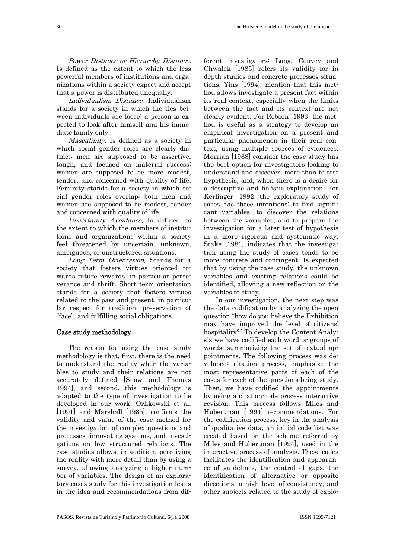Power Distance or Hierarchy Distance. Is defined as the extent to which the less powerful members of institutions and organizations within a society expect and accept that a power is distributed unequally.

Individualism Distance. Individualism stands for a society in which the ties between individuals are loose: a person is expected to look after himself and his immediate family only.

Masculinity. Is defined as a society in which social gender roles are clearly distinct: men are supposed to be assertive, tough, and focused on material success; women are supposed to be more modest, tender, and concerned with quality of life. Feminity stands for a society in which social gender roles overlap: both men and women are supposed to be modest, tender and concerned with quality of life.

Uncertainty Avoidance. Is defined as the extent to which the members of institutions and organizations within a society feel threatened by uncertain, unknown, ambiguous, or unstructured situations.

Long Term Orientation. Stands for a society that fosters virtues oriented towards future rewards, in particular perseverance and thrift. Short term orientation stands for a society that fosters virtues related to the past and present, in particular respect for tradition, preservation of "face", and fulfilling social obligations.

# Case study methodology

The reason for using the case study methodology is that, first, there is the need to understand the reality when the variables to study and their relations are not accurately defined [Snow and Thomas 1994], and second, this methodology is adapted to the type of investigation to be developed in our work. Orlikowski et al. [1991] and Marshall [1985], confirms the validity and value of the case method for the investigation of complex questions and processes, innovating systems, and investigations on low structured relations. The case studies allows, in addition, perceiving the reality with more detail than by using a survey, allowing analyzing a higher number of variables. The design of an exploratory cases study for this investigation leans in the idea and recommendations from different investigators: Long, Convey and Chwalek [1985] refers its validity for in depth studies and concrete processes situations. Yins [1994], mention that this method allows investigate a present fact within its real context, especially when the limits between the fact and its context are not clearly evident. For Robson [1993] the method is useful as a strategy to develop an empirical investigation on a present and particular phenomenon in their real context, using multiple sources of evidences. Merrian [1988] consider the case study has the best option for investigators looking to understand and discover, more than to test hypothesis, and, when there is a desire for a descriptive and holístic explanation. For Kerlinger [1992] the exploratory study of cases has three intentions: to find significant variables, to discover the relations between the variables, and to prepare the investigation for a later test of hypothesis in a more rigorous and systematic way. Stake [1981] indicates that the investigation using the study of cases tends to be more concrete and contingent. Is expected that by using the case study, the unknown variables and existing relations could be identified, allowing a new reflection on the variables to study.

In our investigation, the next step was the data codification by analyzing the open question "how do you believe the Exhibition may have improved the level of citizens' hospitality?" To develop the Content Analysis we have codified each word or groups of words, summarizing the set of textual appointments. The following process was developed: citation process, emphasize the most representative parts of each of the cases for each of the questions being study. Then, we have codified the appointments by using a citation-code process interactive revision. This process follows Miles and Hubertman [1994] recommendations. For the codification process, key in the analysis of qualitative data, an initial code list was created based on the scheme referred by Miles and Hubertman [1994], used in the interactive process of analysis. These codes facilitates the identification and appearance of guidelines, the control of gaps, the identification of alternative or opposite directions, a high level of consistency, and other subjects related to the study of explo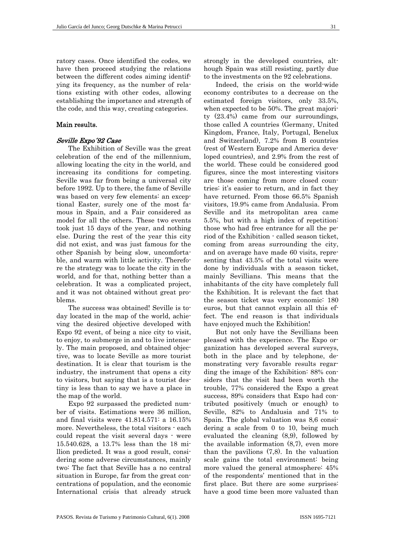ratory cases. Once identified the codes, we have then proceed studying the relations between the different codes aiming identifying its frequency, as the number of relations existing with other codes, allowing establishing the importance and strength of the code, and this way, creating categories.

## Main results.

## Seville Expo´92 Case

The Exhibition of Seville was the great celebration of the end of the millennium, allowing locating the city in the world, and increasing its conditions for competing. Seville was far from being a universal city before 1992. Up to there, the fame of Seville was based on very few elements: an exceptional Easter, surely one of the most famous in Spain, and a Fair considered as model for all the others. These two events took just 15 days of the year, and nothing else. During the rest of the year this city did not exist, and was just famous for the other Spanish by being slow, uncomfortable, and warm with little activity. Therefore the strategy was to locate the city in the world, and for that, nothing better than a celebration. It was a complicated project, and it was not obtained without great problems.

The success was obtained! Seville is today located in the map of the world, achieving the desired objective developed with Expo 92 event, of being a nice city to visit, to enjoy, to submerge in and to live intensely. The main proposed, and obtained objective, was to locate Seville as more tourist destination. It is clear that tourism is the industry, the instrument that opens a city to visitors, but saying that is a tourist destiny is less than to say we have a place in the map of the world.

Expo 92 surpassed the predicted number of visits. Estimations were 36 million, and final visits were 41.814.571: a 16.15% more. Nevertheless, the total visitors - each could repeat the visit several days - were 15.540.628, a 13.7% less than the 18 million predicted. It was a good result, considering some adverse circumstances, mainly two: The fact that Seville has a no central situation in Europe, far from the great concentrations of population, and the economic International crisis that already struck

strongly in the developed countries, although Spain was still resisting, partly due to the investments on the 92 celebrations.

Indeed, the crisis on the world-wide economy contributes to a decrease on the estimated foreign visitors, only 33.5%, when expected to be 50%. The great majority (23.4%) came from our surroundings, those called A countries (Germany, United Kingdom, France, Italy, Portugal, Benelux and Switzerland), 7.2% from B countries (rest of Western Europe and America developed countries), and 2.9% from the rest of the world. These could be considered good figures, since the most interesting visitors are those coming from more closed countries: it's easier to return, and in fact they have returned. From those 66.5% Spanish visitors, 19.9% came from Andalusia. From Seville and its metropolitan area came 5.5%, but with a high index of repetition: those who had free entrance for all the period of the Exhibition - called season ticket, coming from areas surrounding the city, and on average have made 60 visits, representing that 43.5% of the total visits were done by individuals with a season ticket, mainly Sevillians. This means that the inhabitants of the city have completely full the Exhibition. It is relevant the fact that the season ticket was very economic: 180 euros, but that cannot explain all this effect. The end reason is that individuals have enjoyed much the Exhibition!

But not only have the Sevillians been pleased with the experience. The Expo organization has developed several surveys, both in the place and by telephone, demonstrating very favorable results regarding the image of the Exhibition: 88% considers that the visit had been worth the trouble, 77% considered the Expo a great success, 89% considers that Expo had contributed positively (much or enough) to Seville, 82% to Andalusia and 71% to Spain. The global valuation was 8,6 considering a scale from 0 to 10, being much evaluated the cleaning (8,9), followed by the available information (8,7), even more than the pavilions (7,8). In the valuation scale gains the total environment: being more valued the general atmosphere: 45% of the respondents' mentioned that in the first place. But there are some surprises: have a good time been more valuated than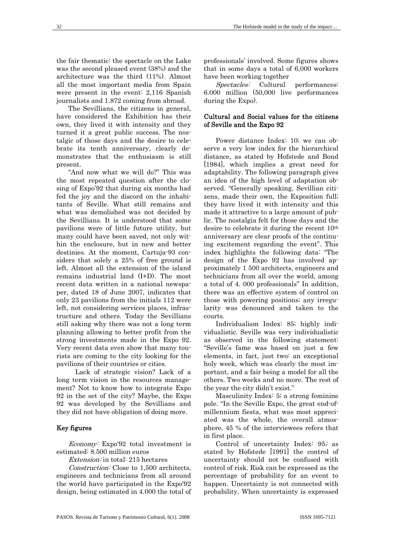the fair thematic: the spectacle on the Lake was the second pleased event (38%) and the architecture was the third (11%). Almost all the most important media from Spain were present in the event: 2,116 Spanish journalists and 1.872 coming from abroad.

The Sevillians, the citizens in general, have considered the Exhibition has their own, they lived it with intensity and they turned it a great public success. The nostalgic of those days and the desire to celebrate its tenth anniversary, clearly demonstrates that the enthusiasm is still present.

"And now what we will do?" This was the most repeated question after the closing of Expo'92 that during six months had fed the joy and the discord on the inhabitants of Seville. What still remains and what was demolished was not decided by the Sevillians. It is understood that some pavilions were of little future utility, but many could have been saved, not only within the enclosure, but in new and better destinies. At the moment, Cartuja-93 considers that solely a 25% of free ground is left. Almost all the extension of the island remains industrial land (I+D). The most recent data written in a national newspaper, dated 18 of June 2007, indicates that only 23 pavilions from the initials 112 were left, not considering services places, infrastructure and others. Today the Sevillians still asking why there was not a long term planning allowing to better profit from the strong investments made in the Expo 92. Very recent data even show that many tourists are coming to the city looking for the pavilions of their countries or cities.

 Lack of strategic vision? Lack of a long term vision in the resources management? Not to know how to integrate Expo 92 in the set of the city? Maybe, the Expo 92 was developed by the Sevillians and they did not have obligation of doing more.

#### Key figures

Economy: Expo'92 total investment is estimated: 8.500 million euros

Extension: in total: 215 hectares

Construction: Close to 1,500 architects, engineers and technicians from all around the world have participated in the Expo'92 design, being estimated in 4.000 the total of professionals' involved. Some figures shows that in some days a total of 6,000 workers have been working together

Spectacles: Cultural performances: 6.000 million (50,000 live performances during the Expo).

### Cultural and Social values for the citizens of Seville and the Expo 92

Power distance Index: 10; we can observe a very low index for the hierarchical distance, as stated by Hofstede and Bond [1984], which implies a great need for adaptability. The following paragraph gives an idea of the high level of adaptation observed. "Generally speaking, Sevillian citizens, made their own, the Exposition full; they have lived it with intensity and this made it attractive to a large amount of public. The nostalgia felt for those days and the desire to celebrate it during the recent 10th anniversary are clear proofs of the continuing excitement regarding the event". This index highlights the following data: "The design of the Expo 92 has involved approximately 1 500 architects, engineers and technicians from all over the world, among a total of 4. 000 professionals" In addition, there was an effective system of control on those with powering positions; any irregularity was denounced and taken to the courts.

Individualism Index: 85; highly individualistic. Seville was very individualistic as observed in the following statement: "Seville's fame was based on just a few elements, in fact, just two: an exceptional holy week, which was clearly the most important, and a fair being a model for all the others. Two weeks and no more. The rest of the year the city didn't exist."

Masculinity Index: 5; a strong feminine pole. "In the Seville Expo, the great end-ofmillennium fiesta, what was most appreciated was the whole, the overall atmosphere, 45 % of the interviewees refers that in first place.

Control of uncertainty Index: 95; as stated by Hofstede [1991] the control of uncertainty should not be confused with control of risk. Risk can be expressed as the percentage of probability for an event to happen. Uncertainty is not connected with probability. When uncertainty is expressed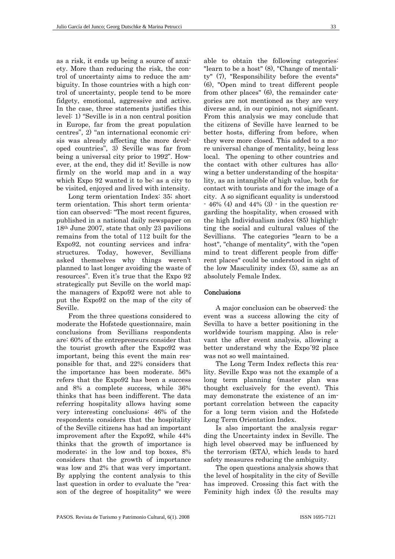as a risk, it ends up being a source of anxiety. More than reducing the risk, the control of uncertainty aims to reduce the ambiguity. In those countries with a high control of uncertainty, people tend to be more fidgety, emotional, aggressive and active. In the case, three statements justifies this level: 1) "Seville is in a non central position in Europe, far from the great population centres", 2) "an international economic crisis was already affecting the more developed countries", 3) Seville was far from being a universal city prior to 1992". However, at the end, they did it! Seville is now firmly on the world map and in a way which Expo 92 wanted it to be: as a city to be visited, enjoyed and lived with intensity.

Long term orientation Index: 35; short term orientation. This short term orientation can observed: "The most recent figures, published in a national daily newspaper on 18th June 2007, state that only 23 pavilions remains from the total of 112 built for the Expo92, not counting services and infrastructures. Today, however, Sevillians asked themselves why things weren't planned to last longer avoiding the waste of resources". Even it's true that the Expo 92 strategically put Seville on the world map; the managers of Expo92 were not able to put the Expo92 on the map of the city of Seville.

From the three questions considered to moderate the Hofstede questionnaire, main conclusions from Sevillians respondents are: 60% of the entrepreneurs consider that the tourist growth after the Expo92 was important, being this event the main responsible for that, and 22% considers that the importance has been moderate. 56% refers that the Expo92 has been a success and 8% a complete success, while 36% thinks that has been indifferent. The data referring hospitality allows having some very interesting conclusions: 46% of the respondents considers that the hospitality of the Seville citizens has had an important improvement after the Expo92, while 44% thinks that the growth of importance is moderate; in the low and top boxes, 8% considers that the growth of importance was low and 2% that was very important. By applying the content analysis to this last question in order to evaluate the "reason of the degree of hospitality" we were

able to obtain the following categories: "learn to be a host" (8), "Change of mentality" (7), "Responsibility before the events" (6), "Open mind to treat different people from other places" (6), the remainder categories are not mentioned as they are very diverse and, in our opinion, not significant. From this analysis we may conclude that the citizens of Seville have learned to be better hosts, differing from before, when they were more closed. This added to a more universal change of mentality, being less local. The opening to other countries and the contact with other cultures has allowing a better understanding of the hospitality, as an intangible of high value, both for contact with tourists and for the image of a city. A so significant equality is understood  $-46\%$  (4) and 44% (3)  $\cdot$  in the question regarding the hospitality, when crossed with the high Individualism index (85) highlighting the social and cultural values of the Sevillians. The categories "learn to be a host", "change of mentality", with the "open mind to treat different people from different places" could be understood in sight of the low Masculinity index (5), same as an absolutely Female Index.

#### **Conclusions**

A major conclusion can be observed: the event was a success allowing the city of Sevilla to have a better positioning in the worldwide tourism mapping. Also is relevant the after event analysis, allowing a better understand why the Expo´92 place was not so well maintained.

The Long Term Index reflects this reality. Seville Expo was not the example of a long term planning (master plan was thought exclusively for the event). This may demonstrate the existence of an important correlation between the capacity for a long term vision and the Hofstede Long Term Orientation Index.

Is also important the analysis regarding the Uncertainty index in Seville. The high level observed may be influenced by the terrorism (ETA), which leads to hard safety measures reducing the ambiguity.

The open questions analysis shows that the level of hospitality in the city of Seville has improved. Crossing this fact with the Feminity high index (5) the results may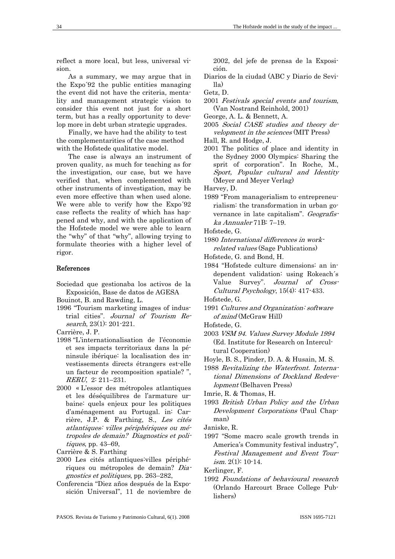reflect a more local, but less, universal vision.

As a summary, we may argue that in the Expo´92 the public entities managing the event did not have the criteria, mentality and management strategic vision to consider this event not just for a short term, but has a really opportunity to develop more in debt urban strategic upgrades.

Finally, we have had the ability to test the complementarities of the case method with the Hofstede qualitative model.

The case is always an instrument of proven quality, as much for teaching as for the investigation, our case, but we have verified that, when complemented with other instruments of investigation, may be even more effective than when used alone. We were able to verify how the Expo´92 case reflects the reality of which has happened and why, and with the application of the Hofstede model we were able to learn the "why" of that "why", allowing trying to formulate theories with a higher level of rigor.

#### References

- Sociedad que gestionaba los activos de la Exposición, Base de datos de AGESA
- Bouinot, B. and Rawding, L.
- 1996 "Tourism marketing images of industrial cities". Journal of Tourism Research, 23(1): 201-221.

Carrière, J. P.

- 1998 "L'internationalisation de l'économie et ses impacts territoriaux dans la péninsule ibérique: la localisation des investissements directs étrangers est-elle un facteur de recomposition spatiale? ", RERU, 2: 211–231.
- 2000 « L'essor des métropoles atlantiques et les déséquilibres de l'armature urbaine: quels enjeux pour les politiques d'aménagement au Portugal. in: Carrière, J.P. & Farthing, S., Les cités atlantiques: villes périphériques ou métropoles de demain? Diagnostics et politiques, pp. 43–69,

Carrière & S. Farthing

- 2000 Les cités atlantiques:villes périphériques ou métropoles de demain? Diagnostics et politiques, pp. 263–282,
- Conferencia "Diez años después de la Exposición Universal", 11 de noviembre de

2002, del jefe de prensa de la Exposición.

- Diarios de la ciudad (ABC y Diario de Sevilla)
- Getz, D.
- 2001 Festivals special events and tourism, (Van Nostrand Reinhold, 2001)
- George, A. L. & Bennett, A.
- 2005 Social CASE studies and theory development in the sciences (MIT Press)
- Hall, R. and Hodge, J.
- 2001 The politics of place and identity in the Sydney 2000 Olympics: Sharing the sprit of corporation". In Roche, M., Sport, Popular cultural and Identity (Meyer and Meyer Verlag)

Harvey, D.

1989 "From managerialism to entrepreneurialism: the transformation in urban governance in late capitalism". Geografiska Annualer 71B: 7–19.

Hofstede, G.

- 1980 International differences in workrelated values (Sage Publications)
- Hofstede, G. and Bond, H.
- 1984 "Hofstede culture dimensions: an independent validation: using Rokeach´s Value Survey". Journal of Cross-Cultural Psychology, 15(4): 417-433.

Hofstede, G.

- 1991 Cultures and Organization: software of mind (McGraw Hill)
- Hofstede, G.
- 2003 VSM 94. Values Survey Module 1994 (Ed. Institute for Research on Intercultural Cooperation)
- Hoyle, B. S., Pinder, D. A. & Husain, M. S.

1988 Revitalizing the Waterfront. International Dimensions of Dockland Redevelopment (Belhaven Press)

Imrie, R. & Thomas, H.

1993 British Urban Policy and the Urban Development Corporations (Paul Chapman)

Janiske, R.

1997 "Some macro scale growth trends in America's Community festival industry", Festival Management and Event Tour $ism. 2(1): 10-14.$ 

Kerlinger, F.

1992 Foundations of behavioural research (Orlando Harcourt Brace College Publishers)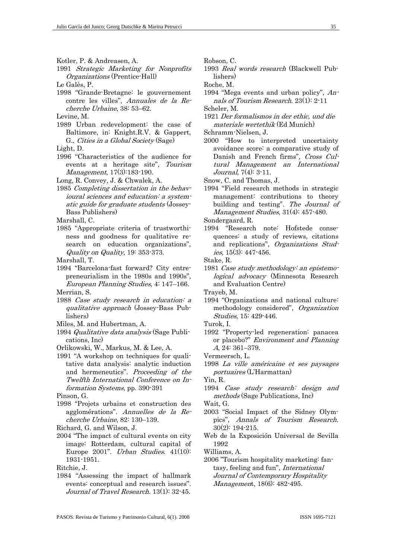- Kotler, P. & Andreasen, A.
- 1991 Strategic Marketing for Nonprofits Organizations (Prentice-Hall)
- Le Galès, P.
- 1998 "Grande-Bretagne: le gouvernement contre les villes", Annuales de la Recherche Urbaine, 38: 53–62.
- Levine, M.
- 1989 Urban redevelopment: the case of Baltimore, in: Knight.R.V. & Gappert, G., Cities in a Global Society (Sage)
- Light, D.
- 1996 "Characteristics of the audience for events at a heritage site", Tourism Management, 17(3):183-190.
- Long, R. Convey, J. & Chwalek, A.
- 1985 Completing dissertation in the behavioural sciences and education: a systematic guide for graduate students (Jossey-Bass Publishers)

Marshall, C.

1985 "Appropriate criteria of trustworthiness and goodness for qualitative research on education organizations", Quality on Quality, 19: 353-373.

Marshall, T.

1994 "Barcelona-fast forward? City entrepreneurialism in the 1980s and 1990s", European Planning Studies, 4: 147–166.

Merrian, S.

- 1988 Case study research in education: a qualitative approach (Jossey-Bass Publishers)
- Miles, M. and Hubertman, A.
- 1994 Qualitative data analysis (Sage Publications, Inc)
- Orlikowski, W., Markus, M. & Lee, A.
- 1991 "A workshop on techniques for qualitative data analysis: analytic induction and hermeneutics". Proceeding of the Twelfth International Conference on Information Systems, pp. 390-391

Pinson, G.

- 1998 "Projets urbains et construction des agglomérations". Annuelles de la Recherche Urbaine, 82: 130–139.
- Richard, G. and Wilson, J.
- 2004 "The impact of cultural events on city image: Rotterdam, cultural capital of Europe 2001". Urban Studies. 41(10): 1931-1951.

Ritchie, J.

1984 "Assessing the impact of hallmark events: conceptual and research issues". Journal of Travel Research. 13(1): 32-45.

- Robson, C.
- 1993 Real words research (Blackwell Publishers)

Roche, M.

1994 "Mega events and urban policy", Annals of Tourism Research. 23(1): 2-11 Scheler, M.

1921 Der formalismos in der ethic, und die materiale wertethik (Ed Munich)

Schramm-Nielsen, J.

2000 "How to interpreted uncertainty avoidance score: a comparative study of Danish and French firms", Cross Cultural Management an International Journal, 7(4): 3-11.

Snow, C. and Thomas, J.

1994 "Field research methods in strategic management: contributions to theory building and testing". The Journal of Management Studies, 31(4): 457-480.

Sondergaard, R.

1994 "Research note: Hofstede consequences: a study of reviews, citations and replications", Organizations Studies, 15(3): 447-456.

1981 Case study methodology: an epistemological advocacy (Minnesota Research and Evaluation Centre)

Trayeb, M.

1994 "Organizations and national culture: methodology considered", Organization Studies, 15: 429-446.

Turok, I.

- 1992 "Property-led regeneration: panacea or placebo?" Environment and Planning A, 24: 361–379.
- Vermeersch, L.
- 1998 La ville américaine et ses paysages portuaires (L'Harmattan)

Yin, R.

1994 Case study research: design and methods (Sage Publications, Inc)

Wait, G.

- 2003 "Social Impact of the Sidney Olympics", Annals of Tourism Research. 30(2): 194-215.
- Web de la Exposición Universal de Sevilla 1992

Williams, A.

2006 "Tourism hospitality marketing: fantasy, feeling and fun", International Journal of Contemporary Hospitality Management, 18(6): 482-495.

Stake, R.